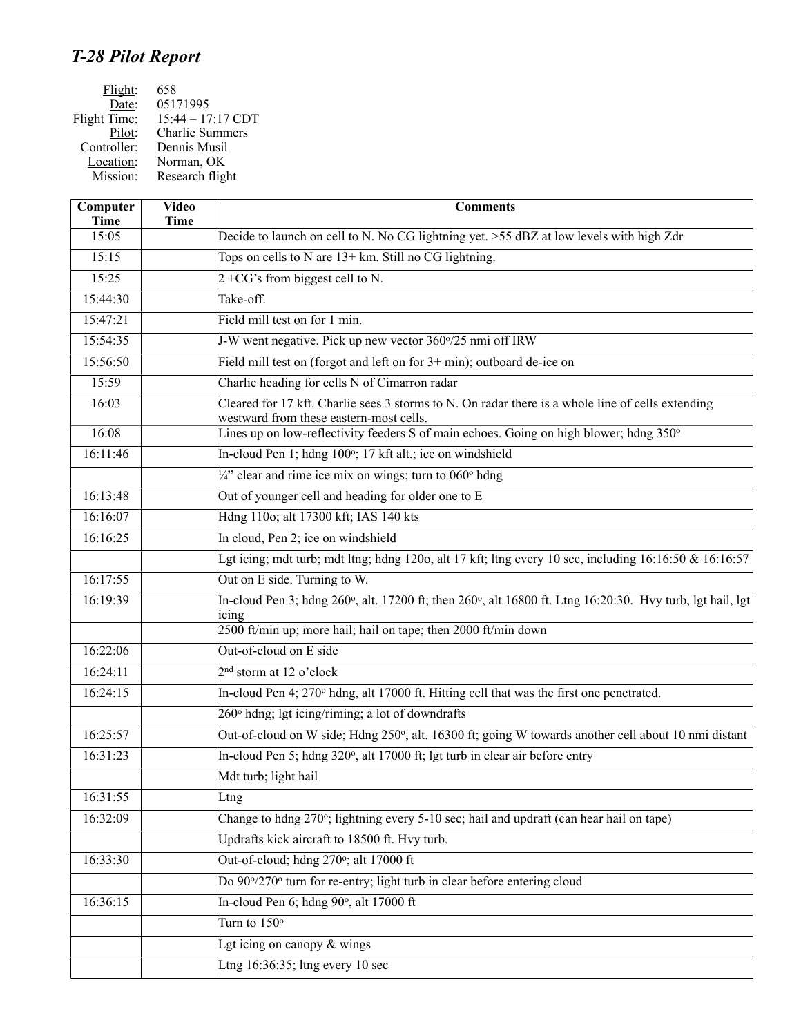## *T-28 Pilot Report*

| Flight:             | 658                    |
|---------------------|------------------------|
| Date:               | 05171995               |
| <b>Flight Time:</b> | $15:44 - 17:17$ CDT    |
| Pilot:              | <b>Charlie Summers</b> |
| Controller:         | Dennis Musil           |
| Location:           | Norman, OK             |
| Mission:            | Research flight        |
|                     |                        |

| Computer<br><b>Time</b> | <b>Video</b><br><b>Time</b> | <b>Comments</b>                                                                                                                                                                      |
|-------------------------|-----------------------------|--------------------------------------------------------------------------------------------------------------------------------------------------------------------------------------|
| 15:05                   |                             | Decide to launch on cell to N. No CG lightning yet. >55 dBZ at low levels with high Zdr                                                                                              |
| 15:15                   |                             | Tops on cells to N are 13+ km. Still no CG lightning.                                                                                                                                |
| 15:25                   |                             | $2 + CG$ 's from biggest cell to N.                                                                                                                                                  |
| 15:44:30                |                             | Take-off.                                                                                                                                                                            |
| 15:47:21                |                             | Field mill test on for 1 min.                                                                                                                                                        |
| 15:54:35                |                             | J-W went negative. Pick up new vector 360°/25 nmi off IRW                                                                                                                            |
| 15:56:50                |                             | Field mill test on (forgot and left on for 3+ min); outboard de-ice on                                                                                                               |
| 15:59                   |                             | Charlie heading for cells N of Cimarron radar                                                                                                                                        |
| 16:03                   |                             | Cleared for 17 kft. Charlie sees 3 storms to N. On radar there is a whole line of cells extending<br>westward from these eastern-most cells.                                         |
| 16:08                   |                             | Lines up on low-reflectivity feeders S of main echoes. Going on high blower; hdng 350°                                                                                               |
| 16:11:46                |                             | In-cloud Pen 1; hdng 100°; 17 kft alt.; ice on windshield                                                                                                                            |
|                         |                             | $\frac{1}{4}$ " clear and rime ice mix on wings; turn to 060 $^{\circ}$ hdng                                                                                                         |
| 16:13:48                |                             | Out of younger cell and heading for older one to E                                                                                                                                   |
| 16:16:07                |                             | Hdng 110o; alt 17300 kft; IAS 140 kts                                                                                                                                                |
| 16:16:25                |                             | In cloud, Pen 2; ice on windshield                                                                                                                                                   |
|                         |                             | Lgt icing; mdt turb; mdt ltng; hdng 1200, alt 17 kft; ltng every 10 sec, including $16:16:50 \& 16:16:57$                                                                            |
| 16:17:55                |                             | Out on E side. Turning to W.                                                                                                                                                         |
| 16:19:39                |                             | In-cloud Pen 3; hdng 260°, alt. 17200 ft; then 260°, alt 16800 ft. Ltng 16:20:30. Hvy turb, lgt hail, lgt<br>icing<br>2500 ft/min up; more hail; hail on tape; then 2000 ft/min down |
| 16:22:06                |                             | Out-of-cloud on E side                                                                                                                                                               |
| 16:24:11                |                             | $2nd$ storm at 12 o'clock                                                                                                                                                            |
| 16:24:15                |                             |                                                                                                                                                                                      |
|                         |                             | In-cloud Pen 4; 270° hdng, alt 17000 ft. Hitting cell that was the first one penetrated.                                                                                             |
|                         |                             | 260° hdng; lgt icing/riming; a lot of downdrafts                                                                                                                                     |
| 16:25:57                |                             | Out-of-cloud on W side; Hdng 250°, alt. 16300 ft; going W towards another cell about 10 nmi distant                                                                                  |
| 16:31:23                |                             | In-cloud Pen 5; hdng 320°, alt 17000 ft; lgt turb in clear air before entry                                                                                                          |
|                         |                             | Mdt turb; light hail                                                                                                                                                                 |
| 16:31:55                |                             | Ltng                                                                                                                                                                                 |
| 16:32:09                |                             | Change to hdng 270°; lightning every 5-10 sec; hail and updraft (can hear hail on tape)                                                                                              |
|                         |                             | Updrafts kick aircraft to 18500 ft. Hvy turb.                                                                                                                                        |
| 16:33:30                |                             | Out-of-cloud; hdng 270°; alt 17000 ft                                                                                                                                                |
|                         |                             | Do 90°/270° turn for re-entry; light turb in clear before entering cloud                                                                                                             |
| 16:36:15                |                             | In-cloud Pen 6; hdng 90°, alt 17000 ft                                                                                                                                               |
|                         |                             | Turn to $150^\circ$                                                                                                                                                                  |
|                         |                             | Lgt icing on canopy $&$ wings                                                                                                                                                        |
|                         |                             | Ltng $16:36:35$ ; ltng every 10 sec                                                                                                                                                  |